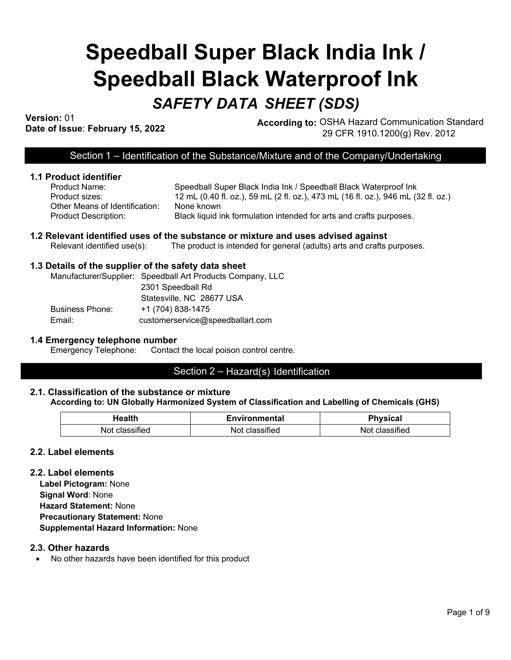# **Speedball Super Black India Ink / Speedball Black Waterproof Ink**

# *SAFETY DATA SHEET (SDS)*

**Version:** 01

**Dression.** Units of Issue: **February 15, 2022 According to:** OSHA Hazard Communication Standard Date of Issue: **February 15, 2022** 29 CFR 1910.1200(g) Rev. 2012

# Section 1 – Identification of the Substance/Mixture and of the Company/Undertaking

#### **1.1 Product identifier**

| Product Name:                  | Speedball St   |
|--------------------------------|----------------|
| Product sizes:                 | 12 mL (0.40    |
| Other Means of Identification: | None known     |
| <b>Product Description:</b>    | Black liquid i |

Speedball Super Black India Ink / Speedball Black Waterproof Ink Product sizes: 12 mL (0.40 fl. oz.), 59 mL (2 fl. oz.), 473 mL (16 fl. oz.), 946 mL (32 fl. oz.) Product Description: Black liquid ink formulation intended for arts and crafts purposes.

#### **1.2 Relevant identified uses of the substance or mixture and uses advised against** Relevant identified use(s): The product is intended for general (adults) arts and crafts purposes.

#### **1.3 Details of the supplier of the safety data sheet**

|                        | Manufacturer/Supplier: Speedball Art Products Company, LLC |
|------------------------|------------------------------------------------------------|
|                        | 2301 Speedball Rd                                          |
|                        | Statesville, NC 28677 USA                                  |
| <b>Business Phone:</b> | +1 (704) 838-1475                                          |
| Email:                 | customerservice@speedballart.com                           |

# **1.4 Emergency telephone number**<br>Emergency Telephone: Contact

Contact the local poison control centre.

# Section 2 – Hazard(s) Identification

#### **2.1. Classification of the substance or mixture According to: UN Globally Harmonized System of Classification and Labelling of Chemicals (GHS)**

| Health     | Environmental | <b>Physical</b> |
|------------|---------------|-----------------|
| Not        | sified        | classified      |
| classified | – Not cla∘r   | Not             |

#### **2.2. Label elements**

#### **2.2. Label elements**

**Label Pictogram:** None **Signal Word**: None **Hazard Statement:** None **Precautionary Statement:** None **Supplemental Hazard Information:** None

#### **2.3. Other hazards**

• No other hazards have been identified for this product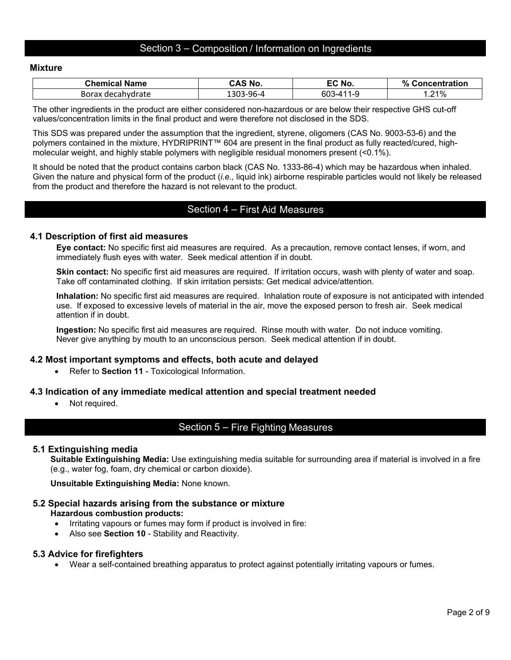# Section 3 – Composition / Information on Ingredients

#### **Mixture**

| Chemical Name | <b>CAS No.</b> | EC No.           | % Concentration |
|---------------|----------------|------------------|-----------------|
| Borax         | `-96-4         | 60. <sup>-</sup> | .21%            |
| decahydrate » | -303-          | л - 1            |                 |

The other ingredients in the product are either considered non-hazardous or are below their respective GHS cut-off values/concentration limits in the final product and were therefore not disclosed in the SDS.

This SDS was prepared under the assumption that the ingredient, styrene, oligomers (CAS No. 9003-53-6) and the polymers contained in the mixture, HYDRIPRINT™ 604 are present in the final product as fully reacted/cured, highmolecular weight, and highly stable polymers with negligible residual monomers present (<0.1%).

It should be noted that the product contains carbon black (CAS No. 1333-86-4) which may be hazardous when inhaled. Given the nature and physical form of the product (*i.e.,* liquid ink) airborne respirable particles would not likely be released from the product and therefore the hazard is not relevant to the product.

### Section 4 – First Aid Measures

#### **4.1 Description of first aid measures**

**Eye contact:** No specific first aid measures are required. As a precaution, remove contact lenses, if worn, and immediately flush eyes with water. Seek medical attention if in doubt.

**Skin contact:** No specific first aid measures are required. If irritation occurs, wash with plenty of water and soap. Take off contaminated clothing. If skin irritation persists: Get medical advice/attention.

**Inhalation:** No specific first aid measures are required. Inhalation route of exposure is not anticipated with intended use. If exposed to excessive levels of material in the air, move the exposed person to fresh air. Seek medical attention if in doubt.

**Ingestion:** No specific first aid measures are required. Rinse mouth with water. Do not induce vomiting. Never give anything by mouth to an unconscious person. Seek medical attention if in doubt.

#### **4.2 Most important symptoms and effects, both acute and delayed**

• Refer to **Section 11** - Toxicological Information.

#### **4.3 Indication of any immediate medical attention and special treatment needed**

• Not required.

# Section 5 – Fire Fighting Measures

#### **5.1 Extinguishing media**

**Suitable Extinguishing Media:** Use extinguishing media suitable for surrounding area if material is involved in a fire (e.g., water fog, foam, dry chemical or carbon dioxide).

**Unsuitable Extinguishing Media:** None known.

#### **5.2 Special hazards arising from the substance or mixture Hazardous combustion products:**

- Irritating vapours or fumes may form if product is involved in fire:
- Also see **Section 10** Stability and Reactivity.

#### **5.3 Advice for firefighters**

• Wear a self-contained breathing apparatus to protect against potentially irritating vapours or fumes.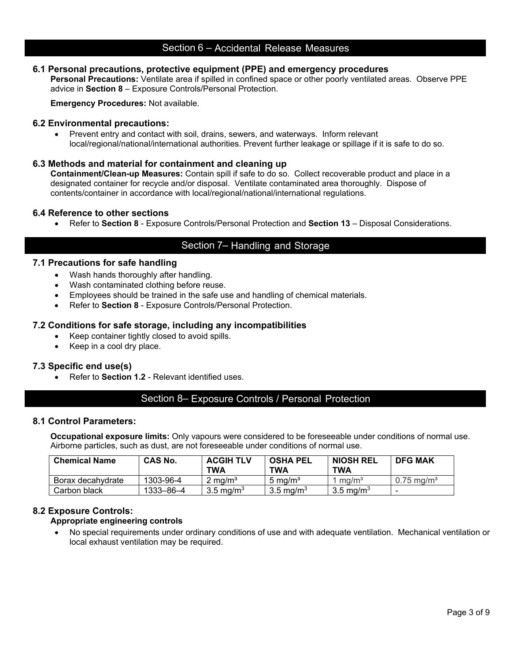# Section 6 – Accidental Release Measures

#### **6.1 Personal precautions, protective equipment (PPE) and emergency procedures**

**Personal Precautions:** Ventilate area if spilled in confined space or other poorly ventilated areas. Observe PPE advice in **Section 8** – Exposure Controls/Personal Protection.

**Emergency Procedures:** Not available.

#### **6.2 Environmental precautions:**

• Prevent entry and contact with soil, drains, sewers, and waterways. Inform relevant local/regional/national/international authorities. Prevent further leakage or spillage if it is safe to do so.

#### **6.3 Methods and material for containment and cleaning up**

**Containment/Clean-up Measures:** Contain spill if safe to do so. Collect recoverable product and place in a designated container for recycle and/or disposal. Ventilate contaminated area thoroughly. Dispose of contents/container in accordance with local/regional/national/international regulations.

#### **6.4 Reference to other sections**

• Refer to **Section 8** - Exposure Controls/Personal Protection and **Section 13** – Disposal Considerations.

# Section 7– Handling and Storage

#### **7.1 Precautions for safe handling**

- Wash hands thoroughly after handling.
- Wash contaminated clothing before reuse.
- Employees should be trained in the safe use and handling of chemical materials.
- Refer to **Section 8** Exposure Controls/Personal Protection.

#### **7.2 Conditions for safe storage, including any incompatibilities**

- Keep container tightly closed to avoid spills.
- Keep in a cool dry place.

#### **7.3 Specific end use(s)**

• Refer to **Section 1.2** - Relevant identified uses.

#### Section 8– Exposure Controls / Personal Protection

#### **8.1 Control Parameters:**

**Occupational exposure limits:** Only vapours were considered to be foreseeable under conditions of normal use. Airborne particles, such as dust, are not foreseeable under conditions of normal use.

| <b>Chemical Name</b> | <b>CAS No.</b> | <b>ACGIH TLV</b><br><b>TWA</b> | <b>OSHA PEL</b><br>TWA | <b>NIOSH REL</b><br><b>TWA</b> | <b>DFG MAK</b>           |
|----------------------|----------------|--------------------------------|------------------------|--------------------------------|--------------------------|
| Borax decahvdrate    | 1303-96-4      | $2 \text{ ma/m}^3$             | $5 \text{ ma/m}^3$     | $1 \text{ rad/m}^3$            | $0.75 \text{ ma/m}^3$    |
| Carbon black         | 1333–86–4      | $3.5 \text{ mg/m}^3$           | 3.5 mg/m $3$           | 3.5 mg/m <sup>3</sup>          | $\overline{\phantom{0}}$ |

#### **8.2 Exposure Controls:**

#### **Appropriate engineering controls**

• No special requirements under ordinary conditions of use and with adequate ventilation. Mechanical ventilation or local exhaust ventilation may be required.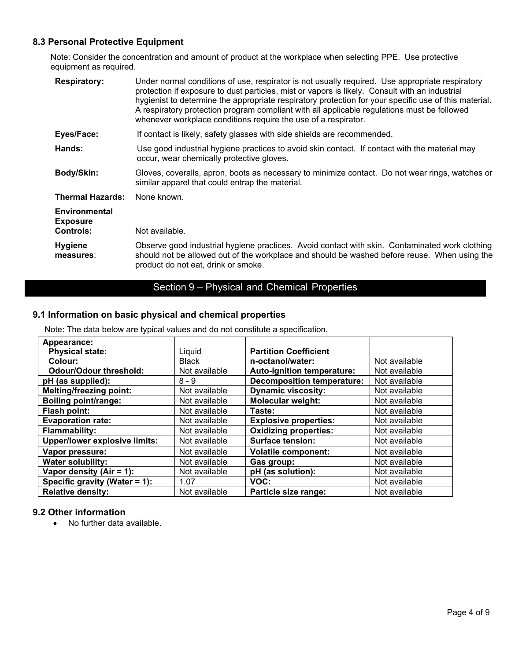# **8.3 Personal Protective Equipment**

Note: Consider the concentration and amount of product at the workplace when selecting PPE. Use protective equipment as required.

| <b>Respiratory:</b>                                  | Under normal conditions of use, respirator is not usually required. Use appropriate respiratory<br>protection if exposure to dust particles, mist or vapors is likely. Consult with an industrial<br>hygienist to determine the appropriate respiratory protection for your specific use of this material.<br>A respiratory protection program compliant with all applicable regulations must be followed<br>whenever workplace conditions require the use of a respirator. |
|------------------------------------------------------|-----------------------------------------------------------------------------------------------------------------------------------------------------------------------------------------------------------------------------------------------------------------------------------------------------------------------------------------------------------------------------------------------------------------------------------------------------------------------------|
| Eyes/Face:                                           | If contact is likely, safety glasses with side shields are recommended.                                                                                                                                                                                                                                                                                                                                                                                                     |
| Hands:                                               | Use good industrial hygiene practices to avoid skin contact. If contact with the material may<br>occur, wear chemically protective gloves.                                                                                                                                                                                                                                                                                                                                  |
| Body/Skin:                                           | Gloves, coveralls, apron, boots as necessary to minimize contact. Do not wear rings, watches or<br>similar apparel that could entrap the material.                                                                                                                                                                                                                                                                                                                          |
| <b>Thermal Hazards:</b>                              | None known.                                                                                                                                                                                                                                                                                                                                                                                                                                                                 |
| Environmental<br><b>Exposure</b><br><b>Controls:</b> | Not available.                                                                                                                                                                                                                                                                                                                                                                                                                                                              |
| <b>Hygiene</b><br>measures:                          | Observe good industrial hygiene practices. Avoid contact with skin. Contaminated work clothing<br>should not be allowed out of the workplace and should be washed before reuse. When using the<br>product do not eat, drink or smoke.                                                                                                                                                                                                                                       |

# Section 9 – Physical and Chemical Properties

# **9.1 Information on basic physical and chemical properties**

Note: The data below are typical values and do not constitute a specification.

| Appearance:                          |               |                                   |               |
|--------------------------------------|---------------|-----------------------------------|---------------|
| <b>Physical state:</b>               | Liquid        | <b>Partition Coefficient</b>      |               |
| Colour:                              | <b>Black</b>  | n-octanol/water:                  | Not available |
| <b>Odour/Odour threshold:</b>        | Not available | Auto-ignition temperature:        | Not available |
| pH (as supplied):                    | $8 - 9$       | <b>Decomposition temperature:</b> | Not available |
| <b>Melting/freezing point:</b>       | Not available | <b>Dynamic viscosity:</b>         | Not available |
| <b>Boiling point/range:</b>          | Not available | <b>Molecular weight:</b>          | Not available |
| Flash point:                         | Not available | Taste:                            | Not available |
| <b>Evaporation rate:</b>             | Not available | <b>Explosive properties:</b>      | Not available |
| <b>Flammability:</b>                 | Not available | <b>Oxidizing properties:</b>      | Not available |
| <b>Upper/lower explosive limits:</b> | Not available | <b>Surface tension:</b>           | Not available |
| Vapor pressure:                      | Not available | <b>Volatile component:</b>        | Not available |
| <b>Water solubility:</b>             | Not available | Gas group:                        | Not available |
| Vapor density $(Air = 1)$ :          | Not available | pH (as solution):                 | Not available |
| Specific gravity (Water = 1):        | 1.07          | VOC:                              | Not available |
| <b>Relative density:</b>             | Not available | Particle size range:              | Not available |

#### **9.2 Other information**

• No further data available.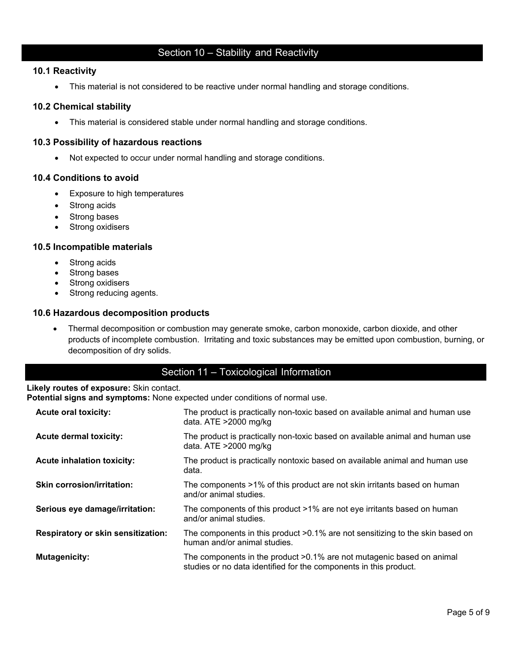# Section 10 – Stability and Reactivity

#### **10.1 Reactivity**

• This material is not considered to be reactive under normal handling and storage conditions.

#### **10.2 Chemical stability**

• This material is considered stable under normal handling and storage conditions.

#### **10.3 Possibility of hazardous reactions**

• Not expected to occur under normal handling and storage conditions.

#### **10.4 Conditions to avoid**

- Exposure to high temperatures
- Strong acids
- Strong bases
- Strong oxidisers

#### **10.5 Incompatible materials**

- Strong acids
- Strong bases
- Strong oxidisers
- Strong reducing agents.

#### **10.6 Hazardous decomposition products**

• Thermal decomposition or combustion may generate smoke, carbon monoxide, carbon dioxide, and other products of incomplete combustion. Irritating and toxic substances may be emitted upon combustion, burning, or decomposition of dry solids.

# Section 11 – Toxicological Information

#### **Likely routes of exposure:** Skin contact.

**Potential signs and symptoms:** None expected under conditions of normal use.

| <b>Acute oral toxicity:</b>               | The product is practically non-toxic based on available animal and human use<br>data. $ATE > 2000$ mg/kg                                   |
|-------------------------------------------|--------------------------------------------------------------------------------------------------------------------------------------------|
| <b>Acute dermal toxicity:</b>             | The product is practically non-toxic based on available animal and human use<br>data. ATE >2000 mg/kg                                      |
| <b>Acute inhalation toxicity:</b>         | The product is practically nontoxic based on available animal and human use<br>data.                                                       |
| <b>Skin corrosion/irritation:</b>         | The components >1% of this product are not skin irritants based on human<br>and/or animal studies.                                         |
| Serious eye damage/irritation:            | The components of this product >1% are not eye irritants based on human<br>and/or animal studies.                                          |
| <b>Respiratory or skin sensitization:</b> | The components in this product >0.1% are not sensitizing to the skin based on<br>human and/or animal studies.                              |
| <b>Mutagenicity:</b>                      | The components in the product >0.1% are not mutagenic based on animal<br>studies or no data identified for the components in this product. |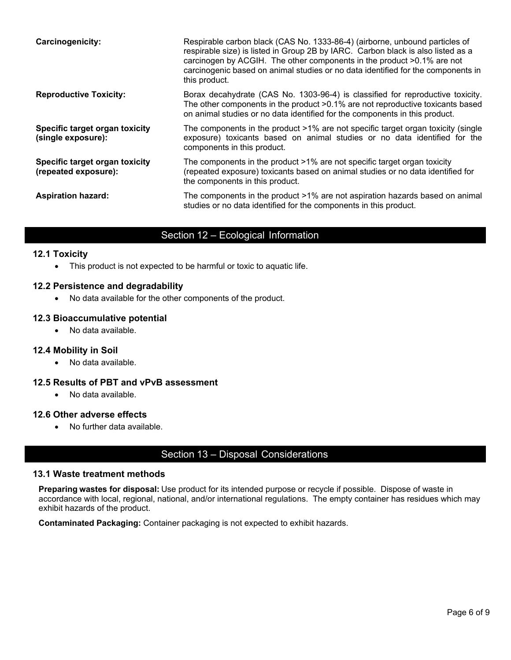| <b>Carcinogenicity:</b>                                | Respirable carbon black (CAS No. 1333-86-4) (airborne, unbound particles of<br>respirable size) is listed in Group 2B by IARC. Carbon black is also listed as a<br>carcinogen by ACGIH. The other components in the product >0.1% are not<br>carcinogenic based on animal studies or no data identified for the components in<br>this product. |
|--------------------------------------------------------|------------------------------------------------------------------------------------------------------------------------------------------------------------------------------------------------------------------------------------------------------------------------------------------------------------------------------------------------|
| <b>Reproductive Toxicity:</b>                          | Borax decahydrate (CAS No. 1303-96-4) is classified for reproductive toxicity.<br>The other components in the product >0.1% are not reproductive toxicants based<br>on animal studies or no data identified for the components in this product.                                                                                                |
| Specific target organ toxicity<br>(single exposure):   | The components in the product $>1\%$ are not specific target organ toxicity (single<br>exposure) toxicants based on animal studies or no data identified for the<br>components in this product.                                                                                                                                                |
| Specific target organ toxicity<br>(repeated exposure): | The components in the product >1% are not specific target organ toxicity<br>(repeated exposure) toxicants based on animal studies or no data identified for<br>the components in this product.                                                                                                                                                 |
| <b>Aspiration hazard:</b>                              | The components in the product >1% are not aspiration hazards based on animal<br>studies or no data identified for the components in this product.                                                                                                                                                                                              |

# Section 12 – Ecological Information

#### **12.1 Toxicity**

• This product is not expected to be harmful or toxic to aquatic life.

### **12.2 Persistence and degradability**

• No data available for the other components of the product.

### **12.3 Bioaccumulative potential**

• No data available.

#### **12.4 Mobility in Soil**

• No data available.

### **12.5 Results of PBT and vPvB assessment**

• No data available.

#### **12.6 Other adverse effects**

• No further data available.

# Section 13 – Disposal Considerations

#### **13.1 Waste treatment methods**

**Preparing wastes for disposal:** Use product for its intended purpose or recycle if possible. Dispose of waste in accordance with local, regional, national, and/or international regulations. The empty container has residues which may exhibit hazards of the product.

**Contaminated Packaging:** Container packaging is not expected to exhibit hazards.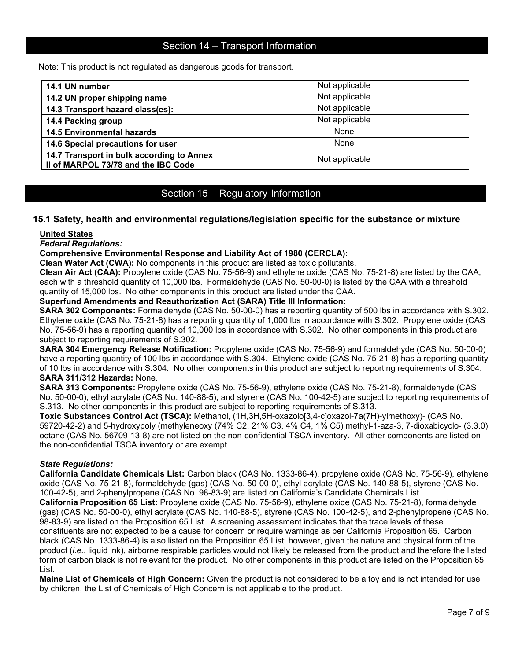# Section 14 – Transport Information

Note: This product is not regulated as dangerous goods for transport.

| 14.1 UN number                                                                   | Not applicable |
|----------------------------------------------------------------------------------|----------------|
| 14.2 UN proper shipping name                                                     | Not applicable |
| 14.3 Transport hazard class(es):                                                 | Not applicable |
| 14.4 Packing group                                                               | Not applicable |
| <b>14.5 Environmental hazards</b>                                                | None           |
| 14.6 Special precautions for user                                                | None           |
| 14.7 Transport in bulk according to Annex<br>Il of MARPOL 73/78 and the IBC Code | Not applicable |

# Section 15 – Regulatory Information

#### **15.1 Safety, health and environmental regulations/legislation specific for the substance or mixture**

#### **United States**

*Federal Regulations:*

#### **Comprehensive Environmental Response and Liability Act of 1980 (CERCLA):**

**Clean Water Act (CWA):** No components in this product are listed as toxic pollutants.

**Clean Air Act (CAA):** Propylene oxide (CAS No. 75-56-9) and ethylene oxide (CAS No. 75-21-8) are listed by the CAA, each with a threshold quantity of 10,000 lbs. Formaldehyde (CAS No. 50-00-0) is listed by the CAA with a threshold quantity of 15,000 lbs. No other components in this product are listed under the CAA.

#### **Superfund Amendments and Reauthorization Act (SARA) Title III Information:**

**SARA 302 Components:** Formaldehyde (CAS No. 50-00-0) has a reporting quantity of 500 lbs in accordance with S.302. Ethylene oxide (CAS No. 75-21-8) has a reporting quantity of 1,000 lbs in accordance with S.302. Propylene oxide (CAS No. 75-56-9) has a reporting quantity of 10,000 lbs in accordance with S.302. No other components in this product are subject to reporting requirements of S.302.

**SARA 304 Emergency Release Notification:** Propylene oxide (CAS No. 75-56-9) and formaldehyde (CAS No. 50-00-0) have a reporting quantity of 100 lbs in accordance with S.304. Ethylene oxide (CAS No. 75-21-8) has a reporting quantity of 10 lbs in accordance with S.304. No other components in this product are subject to reporting requirements of S.304. **SARA 311/312 Hazards:** None.

**SARA 313 Components:** Propylene oxide (CAS No. 75-56-9), ethylene oxide (CAS No. 75-21-8), formaldehyde (CAS No. 50-00-0), ethyl acrylate (CAS No. 140-88-5), and styrene (CAS No. 100-42-5) are subject to reporting requirements of S.313. No other components in this product are subject to reporting requirements of S.313.

**Toxic Substances Control Act (TSCA):** Methanol, (1H,3H,5H-oxazolo[3,4-c]oxazol-7a(7H)-ylmethoxy)- (CAS No. 59720-42-2) and 5-hydroxypoly (methyleneoxy (74% C2, 21% C3, 4% C4, 1% C5) methyl-1-aza-3, 7-dioxabicyclo- (3.3.0) octane (CAS No. 56709-13-8) are not listed on the non-confidential TSCA inventory. All other components are listed on the non-confidential TSCA inventory or are exempt.

#### *State Regulations:*

**California Candidate Chemicals List:** Carbon black (CAS No. 1333-86-4), propylene oxide (CAS No. 75-56-9), ethylene oxide (CAS No. 75-21-8), formaldehyde (gas) (CAS No. 50-00-0), ethyl acrylate (CAS No. 140-88-5), styrene (CAS No. 100-42-5), and 2-phenylpropene (CAS No. 98-83-9) are listed on California's Candidate Chemicals List. **California Proposition 65 List:** Propylene oxide (CAS No. 75-56-9), ethylene oxide (CAS No. 75-21-8), formaldehyde (gas) (CAS No. 50-00-0), ethyl acrylate (CAS No. 140-88-5), styrene (CAS No. 100-42-5), and 2-phenylpropene (CAS No. 98-83-9) are listed on the Proposition 65 List. A screening assessment indicates that the trace levels of these constituents are not expected to be a cause for concern or require warnings as per California Proposition 65. Carbon black (CAS No. 1333-86-4) is also listed on the Proposition 65 List; however, given the nature and physical form of the product (*i.e.*, liquid ink), airborne respirable particles would not likely be released from the product and therefore the listed form of carbon black is not relevant for the product. No other components in this product are listed on the Proposition 65 List.

**Maine List of Chemicals of High Concern:** Given the product is not considered to be a toy and is not intended for use by children, the List of Chemicals of High Concern is not applicable to the product.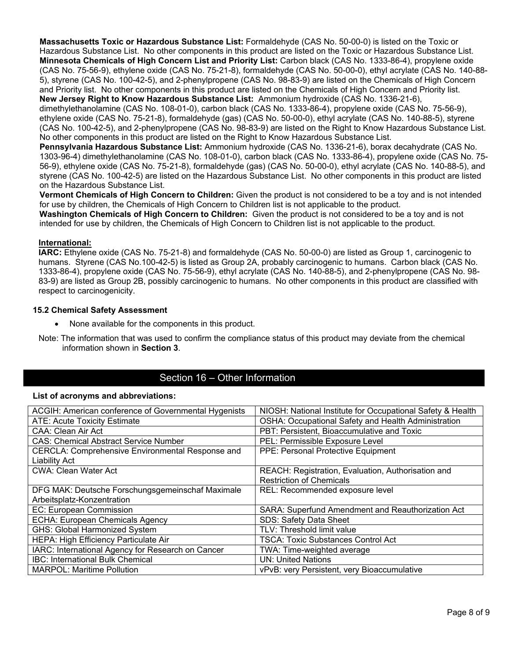**Massachusetts Toxic or Hazardous Substance List:** Formaldehyde (CAS No. 50-00-0) is listed on the Toxic or Hazardous Substance List. No other components in this product are listed on the Toxic or Hazardous Substance List. **Minnesota Chemicals of High Concern List and Priority List:** Carbon black (CAS No. 1333-86-4), propylene oxide (CAS No. 75-56-9), ethylene oxide (CAS No. 75-21-8), formaldehyde (CAS No. 50-00-0), ethyl acrylate (CAS No. 140-88- 5), styrene (CAS No. 100-42-5), and 2-phenylpropene (CAS No. 98-83-9) are listed on the Chemicals of High Concern and Priority list. No other components in this product are listed on the Chemicals of High Concern and Priority list. **New Jersey Right to Know Hazardous Substance List:** Ammonium hydroxide (CAS No. 1336-21-6),

dimethylethanolamine (CAS No. 108-01-0), carbon black (CAS No. 1333-86-4), propylene oxide (CAS No. 75-56-9), ethylene oxide (CAS No. 75-21-8), formaldehyde (gas) (CAS No. 50-00-0), ethyl acrylate (CAS No. 140-88-5), styrene (CAS No. 100-42-5), and 2-phenylpropene (CAS No. 98-83-9) are listed on the Right to Know Hazardous Substance List. No other components in this product are listed on the Right to Know Hazardous Substance List.

**Pennsylvania Hazardous Substance List:** Ammonium hydroxide (CAS No. 1336-21-6), borax decahydrate (CAS No. 1303-96-4) dimethylethanolamine (CAS No. 108-01-0), carbon black (CAS No. 1333-86-4), propylene oxide (CAS No. 75- 56-9), ethylene oxide (CAS No. 75-21-8), formaldehyde (gas) (CAS No. 50-00-0), ethyl acrylate (CAS No. 140-88-5), and styrene (CAS No. 100-42-5) are listed on the Hazardous Substance List. No other components in this product are listed on the Hazardous Substance List.

**Vermont Chemicals of High Concern to Children:** Given the product is not considered to be a toy and is not intended for use by children, the Chemicals of High Concern to Children list is not applicable to the product.

**Washington Chemicals of High Concern to Children:** Given the product is not considered to be a toy and is not intended for use by children, the Chemicals of High Concern to Children list is not applicable to the product.

#### **International:**

**IARC:** Ethylene oxide (CAS No. 75-21-8) and formaldehyde (CAS No. 50-00-0) are listed as Group 1, carcinogenic to humans. Styrene (CAS No.100-42-5) is listed as Group 2A, probably carcinogenic to humans. Carbon black (CAS No. 1333-86-4), propylene oxide (CAS No. 75-56-9), ethyl acrylate (CAS No. 140-88-5), and 2-phenylpropene (CAS No. 98- 83-9) are listed as Group 2B, possibly carcinogenic to humans. No other components in this product are classified with respect to carcinogenicity.

#### **15.2 Chemical Safety Assessment**

- None available for the components in this product.
- Note: The information that was used to confirm the compliance status of this product may deviate from the chemical information shown in **Section 3**.

# Section 16 – Other Information

#### **List of acronyms and abbreviations:**

| ACGIH: American conference of Governmental Hygenists | NIOSH: National Institute for Occupational Safety & Health |
|------------------------------------------------------|------------------------------------------------------------|
| <b>ATE: Acute Toxicity Estimate</b>                  | OSHA: Occupational Safety and Health Administration        |
| CAA: Clean Air Act                                   | PBT: Persistent, Bioaccumulative and Toxic                 |
| <b>CAS: Chemical Abstract Service Number</b>         | PEL: Permissible Exposure Level                            |
| CERCLA: Comprehensive Environmental Response and     | PPE: Personal Protective Equipment                         |
| <b>Liability Act</b>                                 |                                                            |
| <b>CWA: Clean Water Act</b>                          | REACH: Registration, Evaluation, Authorisation and         |
|                                                      | <b>Restriction of Chemicals</b>                            |
| DFG MAK: Deutsche Forschungsgemeinschaf Maximale     | REL: Recommended exposure level                            |
| Arbeitsplatz-Konzentration                           |                                                            |
| EC: European Commission                              | SARA: Superfund Amendment and Reauthorization Act          |
| <b>ECHA: European Chemicals Agency</b>               | <b>SDS: Safety Data Sheet</b>                              |
| <b>GHS: Global Harmonized System</b>                 | TLV: Threshold limit value                                 |
| HEPA: High Efficiency Particulate Air                | <b>TSCA: Toxic Substances Control Act</b>                  |
| IARC: International Agency for Research on Cancer    | TWA: Time-weighted average                                 |
| <b>IBC: International Bulk Chemical</b>              | <b>UN: United Nations</b>                                  |
| <b>MARPOL: Maritime Pollution</b>                    | vPvB: very Persistent, very Bioaccumulative                |